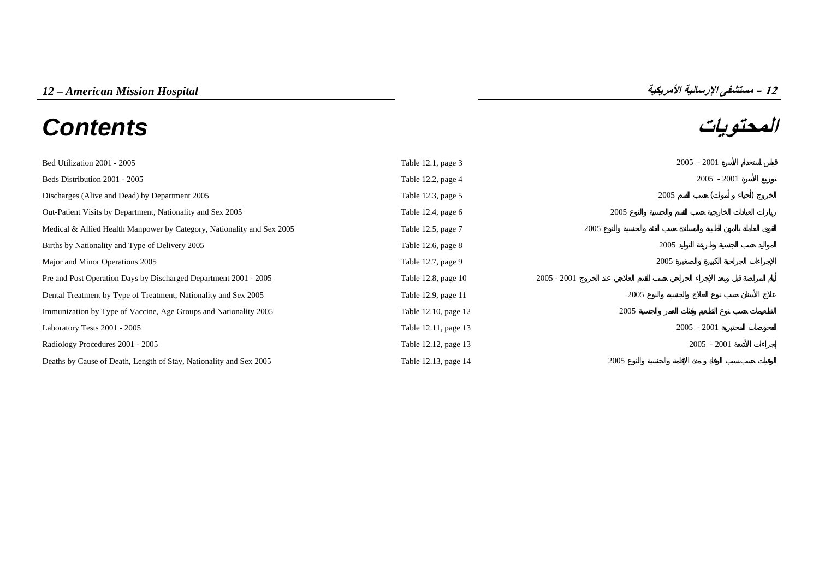# **المحتويات** *Contents*



| Bed Utilization 2001 - 2005                                            | Table 12.1, page 3      |               |      |      | $2005 - 2001$ |  |
|------------------------------------------------------------------------|-------------------------|---------------|------|------|---------------|--|
| Beds Distribution 2001 - 2005                                          | Table 12.2, page 4      |               |      |      | $2005 - 2001$ |  |
| Discharges (Alive and Dead) by Department 2005                         | Table 12.3, page 5      |               |      | 2005 |               |  |
| Out-Patient Visits by Department, Nationality and Sex 2005             | Table 12.4, page $6$    |               | 2005 |      |               |  |
| Medical & Allied Health Manpower by Category, Nationality and Sex 2005 | Table 12.5, page 7      | 2005          |      |      |               |  |
| Births by Nationality and Type of Delivery 2005                        | Table $12.6$ , page $8$ |               |      | 2005 |               |  |
| Major and Minor Operations 2005                                        | Table 12.7, page 9      |               |      | 2005 |               |  |
| Pre and Post Operation Days by Discharged Department 2001 - 2005       | Table 12.8, page 10     | $2005 - 2001$ |      |      |               |  |
| Dental Treatment by Type of Treatment, Nationality and Sex 2005        | Table 12.9, page 11     |               | 2005 |      |               |  |
| Immunization by Type of Vaccine, Age Groups and Nationality 2005       | Table 12.10, page 12    |               | 2005 |      |               |  |
| Laboratory Tests 2001 - 2005                                           | Table 12.11, page 13    |               |      |      | $2005 - 2001$ |  |
| Radiology Procedures 2001 - 2005                                       | Table 12.12, page 13    |               |      |      | $2005 - 2001$ |  |
| Deaths by Cause of Death, Length of Stay, Nationality and Sex 2005     | Table 12.13, page 14    |               | 2005 |      |               |  |

## **12**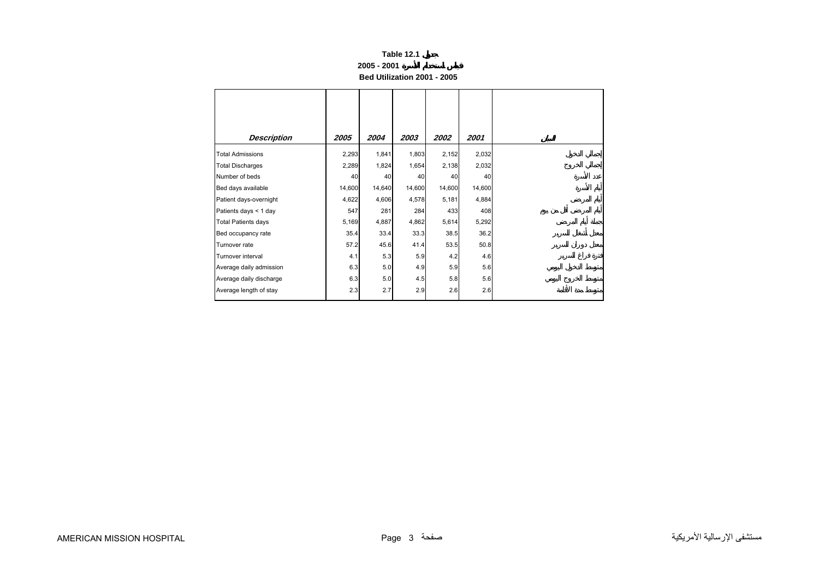### **2005 - 2001**

**Bed Utilization 2001 - 2005** 

<span id="page-1-0"></span>

| <b>Description</b>         | 2005   | 2004   | 2003   | 2002   | 2001   |
|----------------------------|--------|--------|--------|--------|--------|
| <b>Total Admissions</b>    | 2,293  | 1,841  | 1,803  | 2,152  | 2,032  |
| <b>Total Discharges</b>    | 2,289  | 1,824  | 1,654  | 2,138  | 2,032  |
| Number of beds             | 40     | 40     | 40     | 40     | 40     |
| Bed days available         | 14,600 | 14,640 | 14,600 | 14,600 | 14,600 |
| Patient days-overnight     | 4,622  | 4,606  | 4,578  | 5,181  | 4,884  |
| Patients days < 1 day      | 547    | 281    | 284    | 433    | 408    |
| <b>Total Patients days</b> | 5,169  | 4,887  | 4,862  | 5,614  | 5,292  |
| Bed occupancy rate         | 35.4   | 33.4   | 33.3   | 38.5   | 36.2   |
| Turnover rate              | 57.2   | 45.6   | 41.4   | 53.5   | 50.8   |
| Turnover interval          | 4.1    | 5.3    | 5.9    | 4.2    | 4.6    |
| Average daily admission    | 6.3    | 5.0    | 4.9    | 5.9    | 5.6    |
| Average daily discharge    | 6.3    | 5.0    | 4.5    | 5.8    | 5.6    |
| Average length of stay     | 2.3    | 2.7    | 2.9    | 2.6    | 2.6    |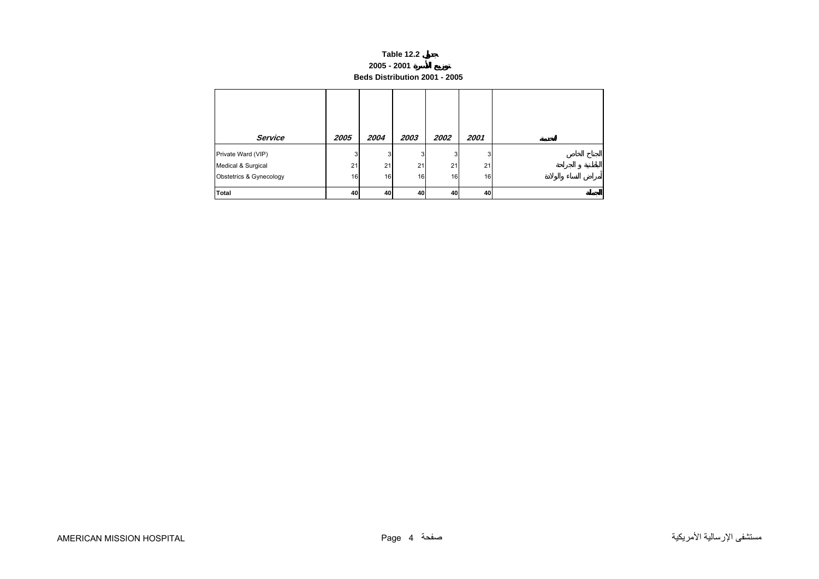## **Table 12.2 2005 - 2001 Beds Distribution 2001 - 2005**

<span id="page-2-0"></span>

| Service                 | 2005 | 2004 | 2003 | 2002 | 2001 |  |
|-------------------------|------|------|------|------|------|--|
| Private Ward (VIP)      | 3    | 3    | 3    | 3    | 3    |  |
| Medical & Surgical      | 21   | 21   | 21   | 21   | 21   |  |
| Obstetrics & Gynecology | 16   | 16   | 16   | 16   | 16   |  |
| <b>Total</b>            | 40   | 40   | 40   | 40   | 40   |  |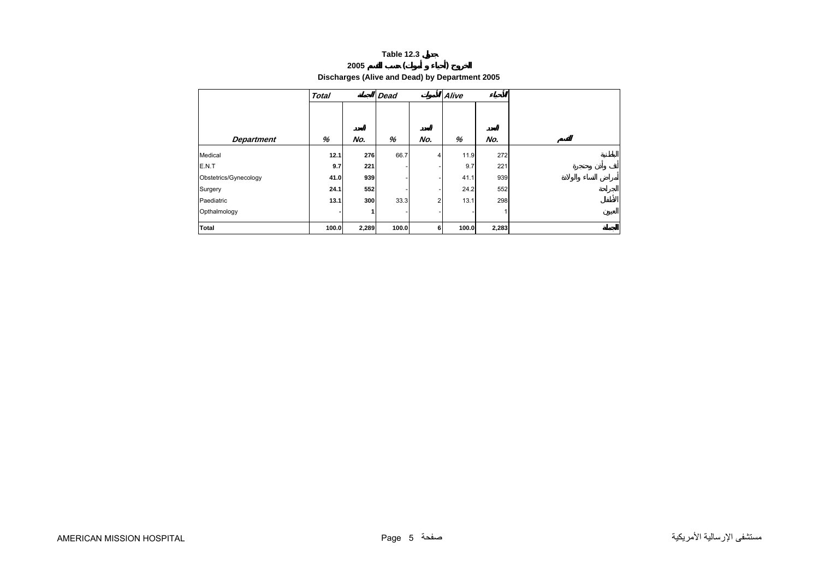## **2005 ( ) Discharges (Alive and Dead) by Department 2005**

<span id="page-3-0"></span>

|                       | <b>Total</b> |       | <b>Dead</b> |     | Alive |       |  |
|-----------------------|--------------|-------|-------------|-----|-------|-------|--|
| <b>Department</b>     | %            | No.   | %           | No. | %     | No.   |  |
| Medical               | 12.1         | 276   | 66.7        | 4   | 11.9  | 272   |  |
| E.N.T                 | 9.7          | 221   |             |     | 9.7   | 221   |  |
| Obstetrics/Gynecology | 41.0         | 939   |             |     | 41.1  | 939   |  |
| Surgery               | 24.1         | 552   |             |     | 24.2  | 552   |  |
| Paediatric            | 13.1         | 300   | 33.3        | 2   | 13.1  | 298   |  |
| Opthalmology          |              |       |             |     |       |       |  |
| Total                 | 100.0        | 2,289 | 100.0       | 6   | 100.0 | 2,283 |  |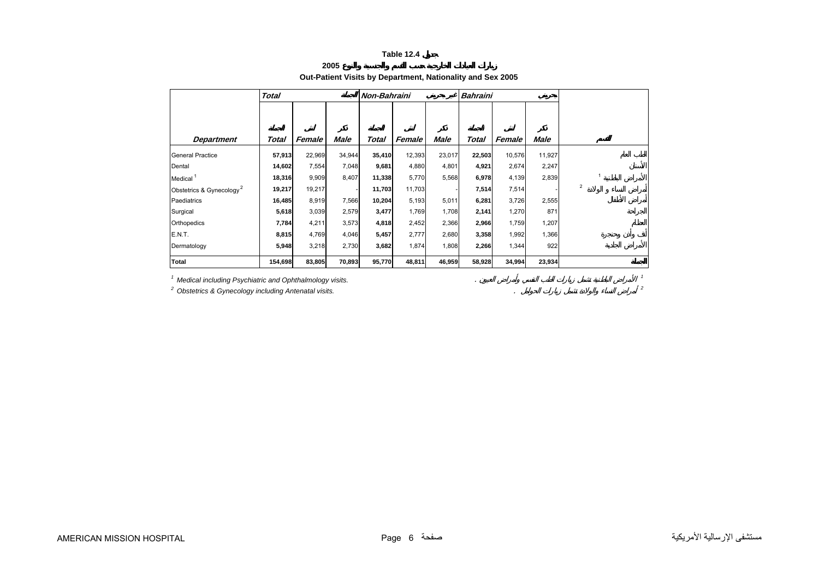## **2005**

## **Out-Patient Visits by Department, Nationality and Sex 2005**

<span id="page-4-0"></span>

|                                      | <b>Total</b> |        |             | Non-Bahraini |        |             | <b>Bahraini</b> |        |        |                         |
|--------------------------------------|--------------|--------|-------------|--------------|--------|-------------|-----------------|--------|--------|-------------------------|
| <b>Department</b>                    | Total        | Female | <b>Male</b> | Total        | Female | <b>Male</b> | Total           | Female | Male   |                         |
|                                      |              |        |             |              |        |             |                 |        |        |                         |
| <b>General Practice</b>              | 57,913       | 22,969 | 34,944      | 35,410       | 12,393 | 23,017      | 22,503          | 10,576 | 11,927 |                         |
| Dental                               | 14,602       | 7,554  | 7,048       | 9,681        | 4,880  | 4,801       | 4,921           | 2,674  | 2,247  |                         |
| Medical <sup>1</sup>                 | 18,316       | 9,909  | 8,407       | 11,338       | 5,770  | 5,568       | 6,978           | 4,139  | 2,839  |                         |
| Obstetrics & Gynecology <sup>2</sup> | 19,217       | 19,217 |             | 11,703       | 11,703 |             | 7,514           | 7,514  |        | $\overline{\mathbf{c}}$ |
| Paediatrics                          | 16,485       | 8,919  | 7,566       | 10,204       | 5,193  | 5,011       | 6,281           | 3,726  | 2,555  |                         |
| Surgical                             | 5,618        | 3,039  | 2,579       | 3,477        | 1,769  | 1,708       | 2,141           | 1,270  | 871    |                         |
| Orthopedics                          | 7,784        | 4,211  | 3,573       | 4,818        | 2,452  | 2,366       | 2,966           | 1,759  | 1,207  |                         |
| E.N.T.                               | 8,815        | 4,769  | 4,046       | 5,457        | 2,777  | 2,680       | 3,358           | 1,992  | 1,366  |                         |
| Dermatology                          | 5,948        | 3,218  | 2,730       | 3,682        | 1,874  | 1,808       | 2,266           | 1,344  | 922    |                         |
| Total                                | 154,698      | 83,805 | 70,893      | 95,770       | 48,811 | 46,959      | 58,928          | 34,994 | 23,934 |                         |

*1 Medical including Psychiatric and Ophthalmology visits.* . *<sup>1</sup>*

*2 Obstetrics & Gynecology including Antenatal visits.* . *<sup>2</sup>*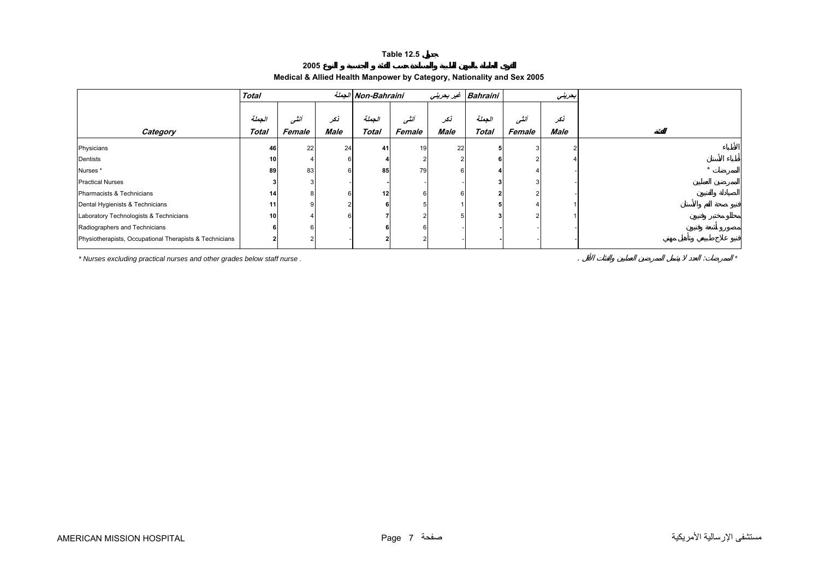**2005**

## **Medical & Allied Health Manpower by Category, Nationality and Sex 2005**

<span id="page-5-0"></span>

|                                                                         | <b>Total</b> |        |             | الجملة Non-Bahraini |        |      | Bahraini غير بحريني |        | بعريني |
|-------------------------------------------------------------------------|--------------|--------|-------------|---------------------|--------|------|---------------------|--------|--------|
|                                                                         |              |        |             |                     |        |      |                     |        |        |
|                                                                         | الجملة       | أنشى   | نکر         | الجملة              | أنشى   | نكر  | الجملة              | أنشى   | نكر    |
| Category                                                                | <b>Total</b> | Female | <b>Male</b> | <b>Total</b>        | Female | Male | <b>Total</b>        | Female | Male   |
| Physicians                                                              | 46           | 22     | 24          | 41                  | 19     | 22   |                     |        |        |
| Dentists                                                                | 10           |        |             |                     |        |      |                     |        |        |
| Nurses *                                                                | 89           | 83     |             | 85                  | 79     |      |                     |        |        |
| <b>Practical Nurses</b>                                                 |              |        |             |                     |        |      |                     |        |        |
| Pharmacists & Technicians                                               | 14           |        |             | 12                  |        |      |                     |        |        |
| Dental Hygienists & Technicians                                         | 11           |        |             |                     |        |      |                     |        |        |
| Laboratory Technologists & Technicians                                  | 10           |        |             |                     |        |      |                     |        |        |
| Radiographers and Technicians                                           |              |        |             |                     |        |      |                     |        |        |
| Physiotherapists, Occupational Therapists & Technicians                 |              |        |             |                     |        |      |                     |        |        |
| * Nurses excluding practical nurses and other grades below staff nurse. |              |        |             |                     |        |      |                     |        |        |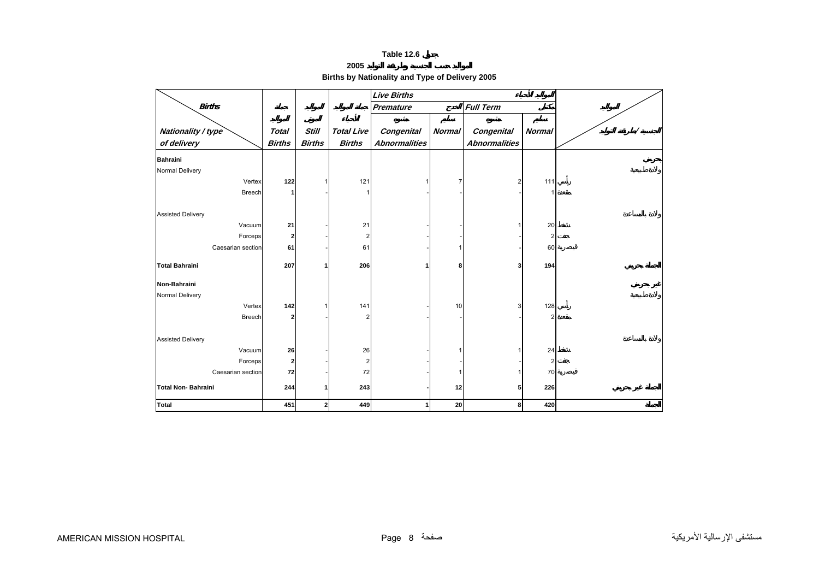**2005**

## **Births by Nationality and Type of Delivery 2005**

<span id="page-6-0"></span>

|                           |               |               |                   | <b>Live Births</b>   |               |                      |                |  |
|---------------------------|---------------|---------------|-------------------|----------------------|---------------|----------------------|----------------|--|
| <b>Births</b>             |               |               |                   | <b>Premature</b>     |               | <b>Full Term</b>     |                |  |
|                           |               |               |                   |                      |               |                      |                |  |
| Nationality / type        | <b>Total</b>  | <b>Still</b>  | <b>Total Live</b> | <b>Congenital</b>    | <b>Normal</b> | Congenital           | <b>Normal</b>  |  |
| of delivery               | <b>Births</b> | <b>Births</b> | <b>Births</b>     | <b>Abnormalities</b> |               | <b>Abnormalities</b> |                |  |
| <b>Bahraini</b>           |               |               |                   |                      |               |                      |                |  |
| Normal Delivery           |               |               |                   |                      |               |                      |                |  |
| Vertex                    | $122$         |               | 121               | 1                    | 7             | 2                    | 111            |  |
| <b>Breech</b>             | 1             |               |                   |                      |               |                      |                |  |
|                           |               |               |                   |                      |               |                      |                |  |
| <b>Assisted Delivery</b>  |               |               |                   |                      |               |                      |                |  |
| Vacuum                    | 21            |               | 21                |                      |               |                      | 20             |  |
| Forceps                   | $\mathbf{2}$  |               | 2                 |                      |               |                      | 2              |  |
| Caesarian section         | 61            |               | 61                |                      |               |                      | 60             |  |
|                           |               |               |                   |                      |               |                      |                |  |
| <b>Total Bahraini</b>     | 207           |               | 206               |                      | 8             | 3                    | 194            |  |
| Non-Bahraini              |               |               |                   |                      |               |                      |                |  |
| Normal Delivery           |               |               |                   |                      |               |                      |                |  |
| Vertex                    | 142           |               | 141               |                      | 10            | 3                    | 128            |  |
| Breech                    | $\mathbf{2}$  |               |                   |                      |               |                      | $\overline{2}$ |  |
|                           |               |               |                   |                      |               |                      |                |  |
| <b>Assisted Delivery</b>  |               |               |                   |                      |               |                      |                |  |
| Vacuum                    | 26            |               | 26                |                      |               |                      | 24             |  |
| Forceps                   | $\mathbf{2}$  |               | 2                 |                      |               |                      | $\overline{2}$ |  |
| Caesarian section         | 72            |               | 72                |                      |               |                      | 70             |  |
| <b>Total Non-Bahraini</b> | 244           |               | 243               |                      | 12            | 5                    | 226            |  |
|                           |               |               |                   |                      |               |                      |                |  |
| <b>Total</b>              | 451           | $\mathbf 2$   | 449               | 1                    | 20            | 8                    | 420            |  |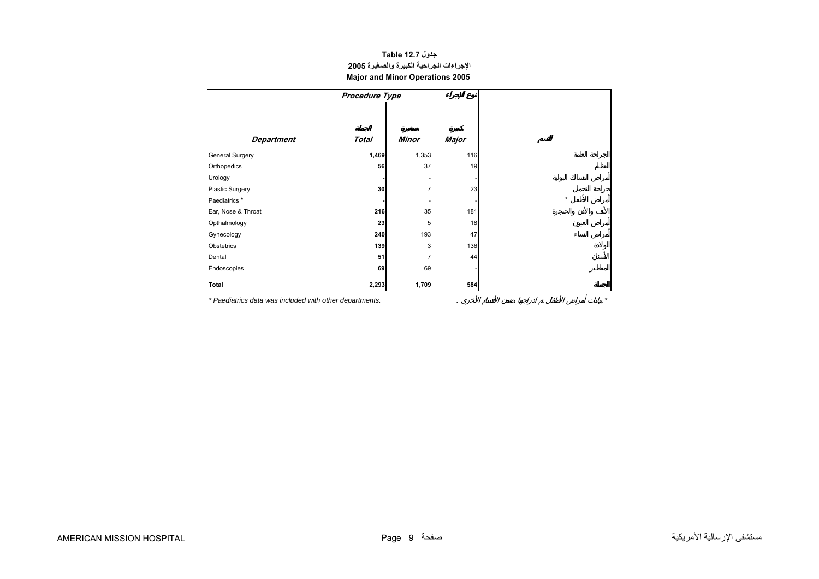## **جدول 12.7 Table الإجراءات الجراحية الكبيرة والصغيرة<sup>2005</sup> Major and Minor Operations 2005**

<span id="page-7-0"></span>

|                        | Procedure Type |       |              |         |
|------------------------|----------------|-------|--------------|---------|
| <b>Department</b>      | <b>Total</b>   | Minor | <b>Major</b> |         |
|                        |                |       |              |         |
| General Surgery        | 1,469          | 1,353 | 116          |         |
| Orthopedics            | 56             | 37    | 19           |         |
| Urology                |                |       |              |         |
| <b>Plastic Surgery</b> | 30             |       | 23           |         |
| Paediatrics*           |                |       |              | $\star$ |
| Ear, Nose & Throat     | 216            | 35    | 181          |         |
| Opthalmology           | 23             | 5     | 18           |         |
| Gynecology             | 240            | 193   | 47           |         |
| Obstetrics             | 139            | 3     | 136          |         |
| Dental                 | 51             | 7     | 44           |         |
| Endoscopies            | 69             | 69    |              |         |
| Total                  | 2,293          | 1,709 | 584          |         |

*\* Paediatrics data was included with other departments.* . *\**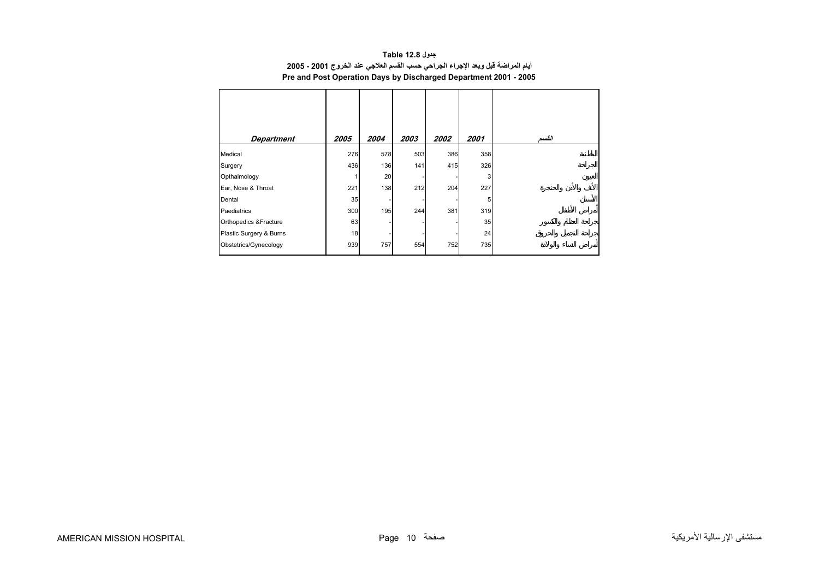## **جدول 12.8 Table أيام المراضة قبل وبعد الإجراء الجراحي حسب القسم العلاجي عند الخروج 2001 - 2005 Pre and Post Operation Days by Discharged Department 2001 - 2005**

<span id="page-8-0"></span>

| <b>Department</b>       | 2005 | 2004 | 2003 | 2002 | 2001 | القسد |
|-------------------------|------|------|------|------|------|-------|
|                         |      |      |      |      |      |       |
| Medical                 | 276  | 578  | 503  | 386  | 358  |       |
| Surgery                 | 436  | 136  | 141  | 415  | 326  |       |
| Opthalmology            |      | 20   |      |      | 3    |       |
| Ear, Nose & Throat      | 221  | 138  | 212  | 204  | 227  |       |
| Dental                  | 35   |      |      |      | 5    |       |
| Paediatrics             | 300  | 195  | 244  | 381  | 319  |       |
| Orthopedics & Fracture  | 63   |      |      |      | 35   |       |
| Plastic Surgery & Burns | 18   |      |      |      | 24   |       |
| Obstetrics/Gynecology   | 939  | 757  | 554  | 752  | 735  |       |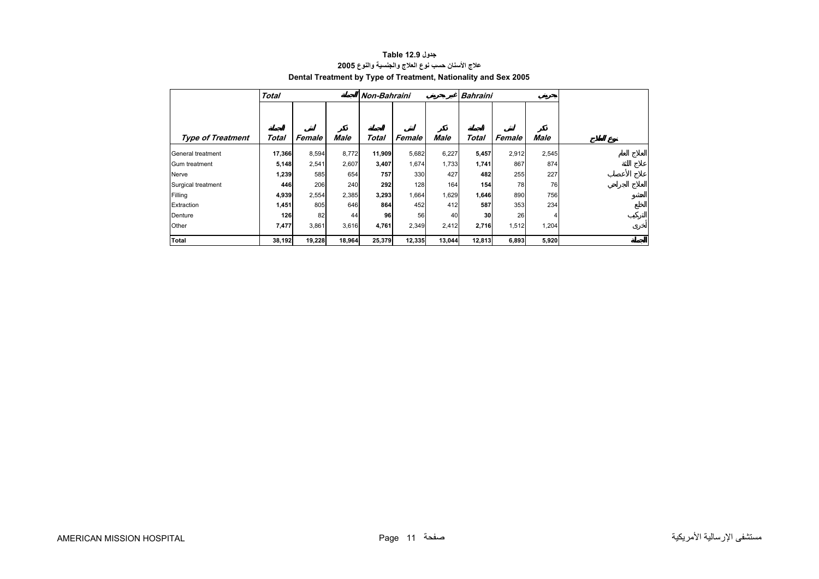<span id="page-9-0"></span>

|                          | <b>Total</b> |        |             | Non-Bahraini |        |        | <b>Bahraini</b> |        |             |  |
|--------------------------|--------------|--------|-------------|--------------|--------|--------|-----------------|--------|-------------|--|
|                          |              |        |             |              |        |        |                 |        |             |  |
|                          |              |        |             |              |        |        |                 |        |             |  |
| <b>Type of Treatment</b> | Total        | Female | <b>Male</b> | Total        | Female | Male   | Total           | Female | <b>Male</b> |  |
| General treatment        | 17,366       | 8,594  | 8,772       | 11,909       | 5,682  | 6,227  | 5,457           | 2,912  | 2,545       |  |
| Gum treatment            | 5,148        | 2,541  | 2,607       | 3,407        | 1,674  | 1,733  | 1,741           | 867    | 874         |  |
| Nerve                    | 1,239        | 585    | 654         | 757          | 330    | 427    | 482             | 255    | 227         |  |
| Surgical treatment       | 446          | 206    | 240         | 292          | 128    | 164    | 154             | 78     | 76          |  |
| Filling                  | 4,939        | 2,554  | 2,385       | 3,293        | 1,664  | 1,629  | 1,646           | 890    | 756         |  |
| Extraction               | 1,451        | 805    | 646         | 864          | 452    | 412    | 587             | 353    | 234         |  |
| Denture                  | 126          | 82     | 44          | 96           | 56     | 40     | 30              | 26     | 4           |  |
| Other                    | 7,477        | 3,861  | 3,616       | 4,761        | 2,349  | 2,412  | 2,716           | 1,512  | 1,204       |  |
| Total                    | 38,192       | 19,228 | 18,964      | 25,379       | 12,335 | 13,044 | 12,813          | 6,893  | 5,920       |  |

## **جدول 12.9 Table علاج الأسنان حسب نوع العلاج والجنسية والنوع<sup>2005</sup> Dental Treatment by Type of Treatment, Nationality and Sex 2005**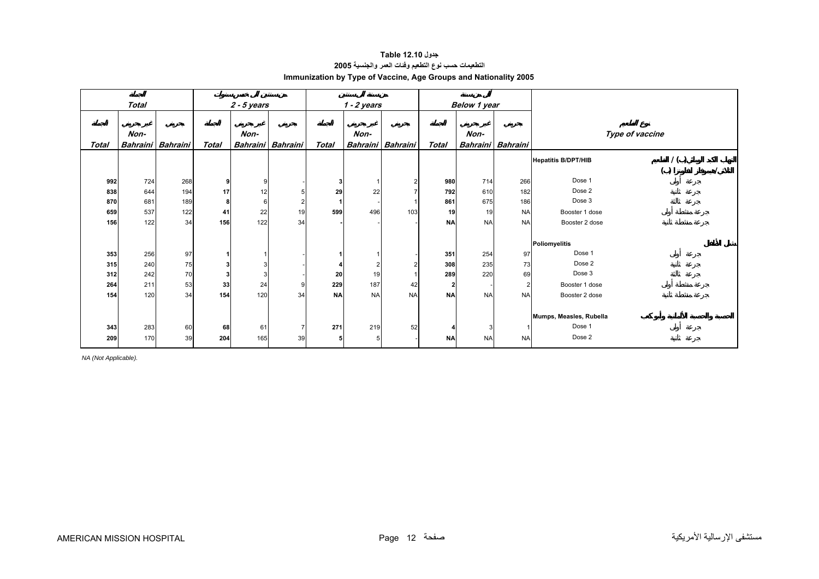## **جدول 12.10 Table التطعيمات حسب نوع التطعيم وفئات العمر والجنسية<sup>2005</sup> Immunization by Type of Vaccine, Age Groups and Nationality 2005**

<span id="page-10-0"></span>

|       | <b>Total</b>    |                 |       | $2 - 5$ years |                   |              | $1 - 2$ years   |                 |                | Below 1 year             |           |                            |                 |  |
|-------|-----------------|-----------------|-------|---------------|-------------------|--------------|-----------------|-----------------|----------------|--------------------------|-----------|----------------------------|-----------------|--|
|       |                 |                 |       |               |                   |              |                 |                 |                |                          |           |                            |                 |  |
|       | Non-            |                 |       | Non-          |                   |              | Non-            |                 |                | Non-                     |           |                            | Type of vaccine |  |
| Total | <b>Bahraini</b> | <b>Bahraini</b> | Total |               | Bahraini Bahraini | <b>Total</b> | <b>Bahraini</b> | <b>Bahraini</b> | <b>Total</b>   | <b>Bahraini</b> Bahraini |           |                            |                 |  |
|       |                 |                 |       |               |                   |              |                 |                 |                |                          |           |                            |                 |  |
|       |                 |                 |       |               |                   |              |                 |                 |                |                          |           | <b>Hepatitis B/DPT/HIB</b> | 1()             |  |
|       |                 |                 |       |               |                   |              |                 |                 |                |                          |           |                            | ( )             |  |
| 992   | 724             | 268             | 9     | 9             |                   | 3            |                 | $\overline{2}$  | 980            | 714                      | 266       | Dose 1                     |                 |  |
| 838   | 644             | 194             | 17    | 12            |                   | 29           | 22              |                 | 792            | 610                      | 182       | Dose 2                     |                 |  |
| 870   | 681             | 189             | 8     | 6             |                   |              |                 |                 | 861            | 675                      | 186       | Dose 3                     |                 |  |
| 659   | 537             | 122             | 41    | 22            | 19                | 599          | 496             | 103             | 19             | 19                       | <b>NA</b> | Booster 1 dose             |                 |  |
| 156   | 122             | 34              | 156   | 122           | 34                |              |                 |                 | <b>NA</b>      | <b>NA</b>                | <b>NA</b> | Booster 2 dose             |                 |  |
|       |                 |                 |       |               |                   |              |                 |                 |                |                          |           |                            |                 |  |
|       |                 |                 |       |               |                   |              |                 |                 |                |                          |           | Poliomyelitis              |                 |  |
| 353   | 256             | 97              |       |               |                   |              |                 |                 | 351            | 254                      | 97        | Dose 1                     |                 |  |
| 315   | 240             | 75              |       | 3             |                   |              |                 | 2               | 308            | 235                      | 73        | Dose 2                     |                 |  |
| 312   | 242             | 70              |       | 3             |                   | 20           | 19              |                 | 289            | 220                      | 69        | Dose 3                     |                 |  |
| 264   | 211             | 53              | 33    | 24            |                   | 229          | 187             | 42              | $\overline{2}$ |                          |           | Booster 1 dose             |                 |  |
| 154   | 120             | 34              | 154   | 120           | 34                | <b>NA</b>    | <b>NA</b>       | <b>NA</b>       | <b>NA</b>      | <b>NA</b>                | <b>NA</b> | Booster 2 dose             |                 |  |
|       |                 |                 |       |               |                   |              |                 |                 |                |                          |           |                            |                 |  |
|       |                 |                 |       |               |                   |              |                 |                 |                |                          |           | Mumps, Measles, Rubella    |                 |  |
| 343   | 283             | 60              | 68    | 61            | $\overline{7}$    | 271          | 219             | 52              |                | 3                        |           | Dose 1                     |                 |  |
| 209   | 170             | 39              | 204   | 165           | 39                | 5            |                 |                 | <b>NA</b>      | <b>NA</b>                | <b>NA</b> | Dose 2                     |                 |  |
|       |                 |                 |       |               |                   |              |                 |                 |                |                          |           |                            |                 |  |

*NA (Not Applicable).*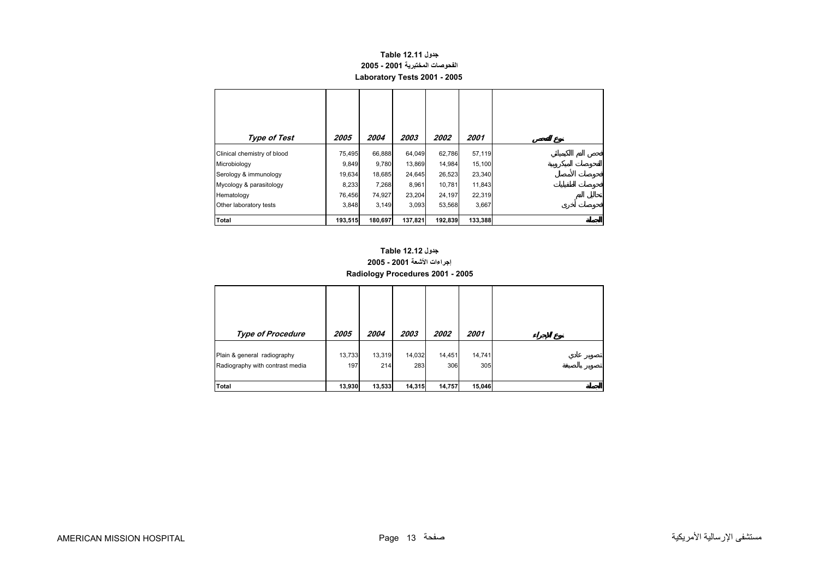## **جدول 12.11 Table الفحوصات المختبرية 2001 - 2005 Laboratory Tests 2001 - 2005**

<span id="page-11-0"></span>

| Type of Test                | 2005    | 2004    | 2003    | <i><b>2002</b></i> | 2001    |
|-----------------------------|---------|---------|---------|--------------------|---------|
| Clinical chemistry of blood | 75,495  | 66,888  | 64,049  | 62,786             | 57,119  |
| Microbiology                | 9,849   | 9,780   | 13,869  | 14,984             | 15,100  |
| Serology & immunology       | 19,634  | 18,685  | 24,645  | 26,523             | 23,340  |
| Mycology & parasitology     | 8,233   | 7,268   | 8,961   | 10,781             | 11,843  |
| Hematology                  | 76,456  | 74,927  | 23,204  | 24,197             | 22,319  |
| Other laboratory tests      | 3,848   | 3,149   | 3,093   | 53,568             | 3,667   |
| <b>Total</b>                | 193,515 | 180,697 | 137,821 | 192,839            | 133,388 |

## **إجراءات الأشعة 2001 - 2005 Radiology Procedures 2001 - 2005 جدول 12.12 Table**

| <b>Type of Procedure</b>                                       | 2005          | 2004          | 2003          | 2002          | 2001          |  |
|----------------------------------------------------------------|---------------|---------------|---------------|---------------|---------------|--|
| Plain & general radiography<br>Radiography with contrast media | 13,733<br>197 | 13,319<br>214 | 14,032<br>283 | 14,451<br>306 | 14,741<br>305 |  |
| Total                                                          | 13,930        | 13,533        | 14,315        | 14,757        | 15,046        |  |